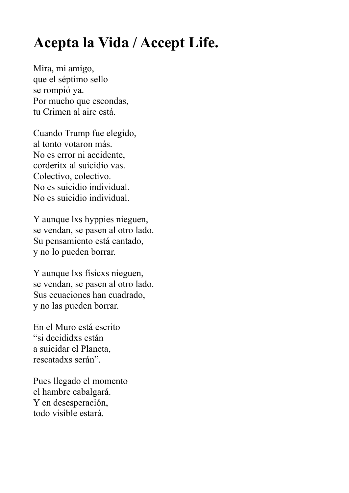## **Acepta la Vida / Accept Life.**

Mira, mi amigo, que el séptimo sello se rompió ya. Por mucho que escondas, tu Crimen al aire está.

Cuando Trump fue elegido, al tonto votaron más. No es error ni accidente, corderitx al suicidio vas. Colectivo, colectivo. No es suicidio individual. No es suicidio individual.

Y aunque lxs hyppies nieguen, se vendan, se pasen al otro lado. Su pensamiento está cantado, y no lo pueden borrar.

Y aunque lxs físicxs nieguen, se vendan, se pasen al otro lado. Sus ecuaciones han cuadrado, y no las pueden borrar.

En el Muro está escrito "si decididxs están a suicidar el Planeta, rescatadxs serán".

Pues llegado el momento el hambre cabalgará. Y en desesperación, todo visible estará.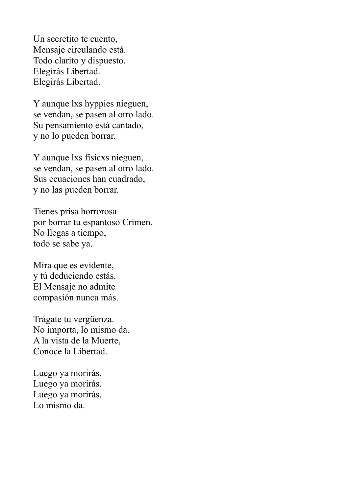Un secretito te cuento, Mensaje circulando está. Todo clarito y dispuesto. Elegirás Libertad. Elegirás Libertad.

Y aunque lxs hyppies nieguen, se vendan, se pasen al otro lado. Su pensamiento está cantado, y no lo pueden borrar.

Y aunque lxs físicxs nieguen, se vendan, se pasen al otro lado. Sus ecuaciones han cuadrado, y no las pueden borrar.

Tienes prisa horrorosa por borrar tu espantoso Crimen. No llegas a tiempo, todo se sabe ya.

Mira que es evidente, y tú deduciendo estás. El Mensaje no admite compasión nunca más.

Trágate tu vergüenza. No importa, lo mismo da. A la vista de la Muerte, Conoce la Libertad.

Luego ya morirás. Luego ya morirás. Luego ya morirás. Lo mismo da.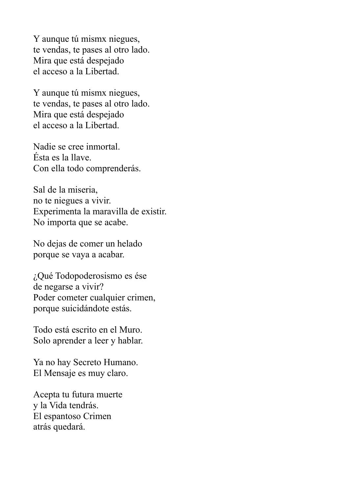Y aunque tú mismx niegues, te vendas, te pases al otro lado. Mira que está despejado el acceso a la Libertad.

Y aunque tú mismx niegues, te vendas, te pases al otro lado. Mira que está despejado el acceso a la Libertad.

Nadie se cree inmortal. Ésta es la llave. Con ella todo comprenderás.

Sal de la miseria, no te niegues a vivir. Experimenta la maravilla de existir. No importa que se acabe.

No dejas de comer un helado porque se vaya a acabar.

¿Qué Todopoderosismo es ése de negarse a vivir? Poder cometer cualquier crimen, porque suicidándote estás.

Todo está escrito en el Muro. Solo aprender a leer y hablar.

Ya no hay Secreto Humano. El Mensaje es muy claro.

Acepta tu futura muerte y la Vida tendrás. El espantoso Crimen atrás quedará.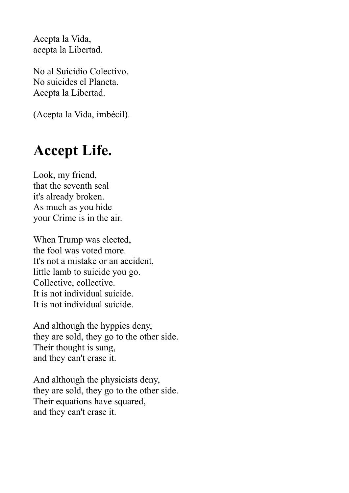Acepta la Vida, acepta la Libertad.

No al Suicidio Colectivo. No suicides el Planeta. Acepta la Libertad.

(Acepta la Vida, imbécil).

## **Accept Life.**

Look, my friend, that the seventh seal it's already broken. As much as you hide your Crime is in the air.

When Trump was elected, the fool was voted more. It's not a mistake or an accident, little lamb to suicide you go. Collective, collective. It is not individual suicide. It is not individual suicide.

And although the hyppies deny, they are sold, they go to the other side. Their thought is sung, and they can't erase it.

And although the physicists deny, they are sold, they go to the other side. Their equations have squared, and they can't erase it.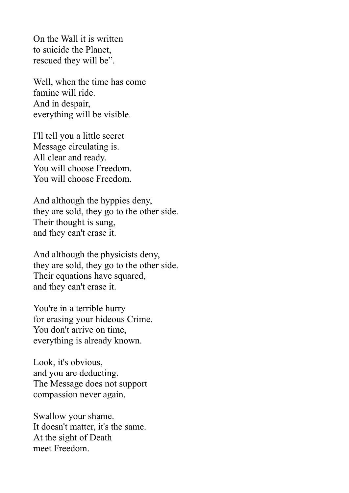On the Wall it is written to suicide the Planet, rescued they will be".

Well, when the time has come famine will ride. And in despair, everything will be visible.

I'll tell you a little secret Message circulating is. All clear and ready. You will choose Freedom. You will choose Freedom.

And although the hyppies deny, they are sold, they go to the other side. Their thought is sung, and they can't erase it.

And although the physicists deny, they are sold, they go to the other side. Their equations have squared, and they can't erase it.

You're in a terrible hurry for erasing your hideous Crime. You don't arrive on time, everything is already known.

Look, it's obvious, and you are deducting. The Message does not support compassion never again.

Swallow your shame. It doesn't matter, it's the same. At the sight of Death meet Freedom.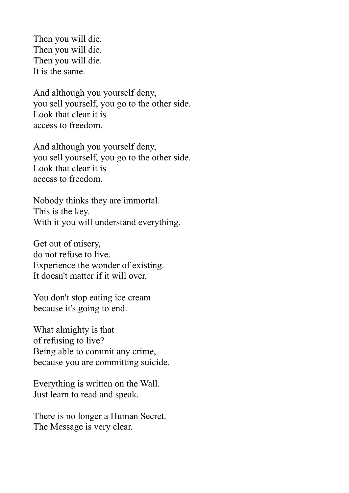Then you will die. Then you will die. Then you will die. It is the same.

And although you yourself deny, you sell yourself, you go to the other side. Look that clear it is access to freedom.

And although you yourself deny, you sell yourself, you go to the other side. Look that clear it is access to freedom.

Nobody thinks they are immortal. This is the key. With it you will understand everything.

Get out of misery, do not refuse to live. Experience the wonder of existing. It doesn't matter if it will over.

You don't stop eating ice cream because it's going to end.

What almighty is that of refusing to live? Being able to commit any crime, because you are committing suicide.

Everything is written on the Wall. Just learn to read and speak.

There is no longer a Human Secret. The Message is very clear.